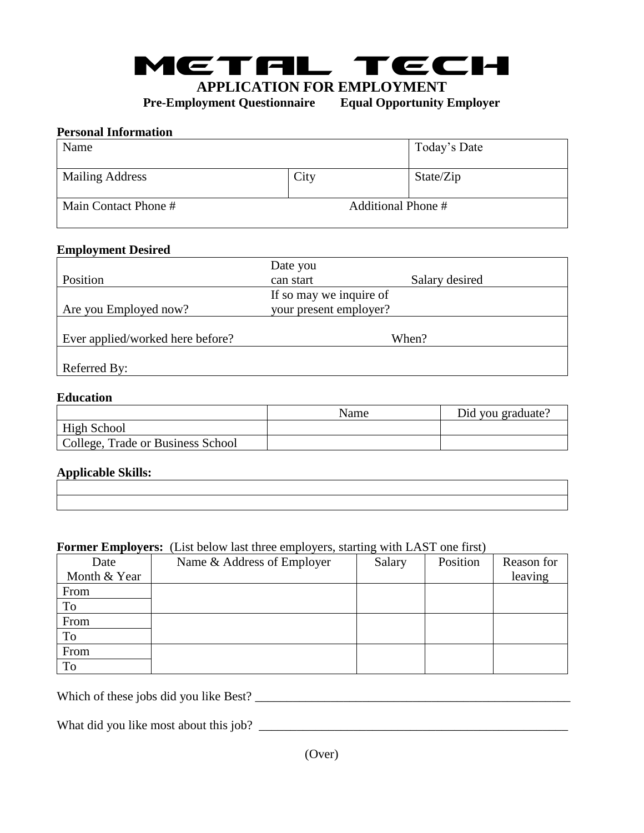

**APPLICATION FOR EMPLOYMENT**

**Pre-Employment Questionnaire Equal Opportunity Employer**

### **Personal Information**

| Name                   |                    | Today's Date |
|------------------------|--------------------|--------------|
| <b>Mailing Address</b> | City               | State/Zip    |
| Main Contact Phone #   | Additional Phone # |              |

#### **Employment Desired**

| Date you  |                                                   |
|-----------|---------------------------------------------------|
| can start | Salary desired                                    |
|           |                                                   |
|           |                                                   |
|           |                                                   |
|           | When?                                             |
|           |                                                   |
|           |                                                   |
|           | If so may we inquire of<br>your present employer? |

## **Education Example 2018 Example 2018 Education Education Education Education Education Education Education Education Education Education Education Education Education Education Education**

|                                   | Name | Did you graduate? |
|-----------------------------------|------|-------------------|
| <b>High School</b>                |      |                   |
| College, Trade or Business School |      |                   |

#### **Applicable Skills:**

| ,一个人的人都是一个人的人,但是,他们的人都是不是,他们的人都是不是,他们的人都是不是,他们的人都是不是,他们的人都是不是,他们的人都是不是,他们的人都是不是,<br>第151章 我们的人,我们的人都是不是,我们的人都是不是,我们的人都是不是,我们的人都是不是,我们的人都是不是,我们的人都是不是,我们的人都是不是,我们的人都是 |                                                                                                                                                                      |  |
|----------------------------------------------------------------------------------------------------------------------------------------------------------------------|----------------------------------------------------------------------------------------------------------------------------------------------------------------------|--|
|                                                                                                                                                                      |                                                                                                                                                                      |  |
|                                                                                                                                                                      |                                                                                                                                                                      |  |
|                                                                                                                                                                      | ,一个人的人都是一个人的人,但是,我们的人都是不是,我们的人都是不是,我们的人都是不是,我们的人都是不是,我们的人都是不是,我们的人都是不是,我们的人都是不是,<br>第151章 我们的人,我们的人都是不是,我们的人都是不是,我们的人都是不是,我们的人都是不是,我们的人都是不是,我们的人都是不是,我们的人都是不是,我们的人都是 |  |

#### **Former Employers:** (List below last three employers, starting with LAST one first)

| Date         | Name & Address of Employer | Salary | Position | Reason for |
|--------------|----------------------------|--------|----------|------------|
| Month & Year |                            |        |          | leaving    |
| From         |                            |        |          |            |
| To           |                            |        |          |            |
| From         |                            |        |          |            |
| To           |                            |        |          |            |
| From         |                            |        |          |            |
| To           |                            |        |          |            |

Which of these jobs did you like Best? \_\_\_\_\_\_\_\_\_\_\_\_\_\_\_\_\_\_\_\_\_\_\_\_\_\_\_\_\_\_\_\_\_\_\_\_\_\_\_\_\_\_\_\_\_\_\_\_\_\_

What did you like most about this job? \_\_\_\_\_\_\_\_\_\_\_\_\_\_\_\_\_\_\_\_\_\_\_\_\_\_\_\_\_\_\_\_\_\_\_\_\_\_\_\_\_\_\_\_\_\_\_\_\_

(Over)